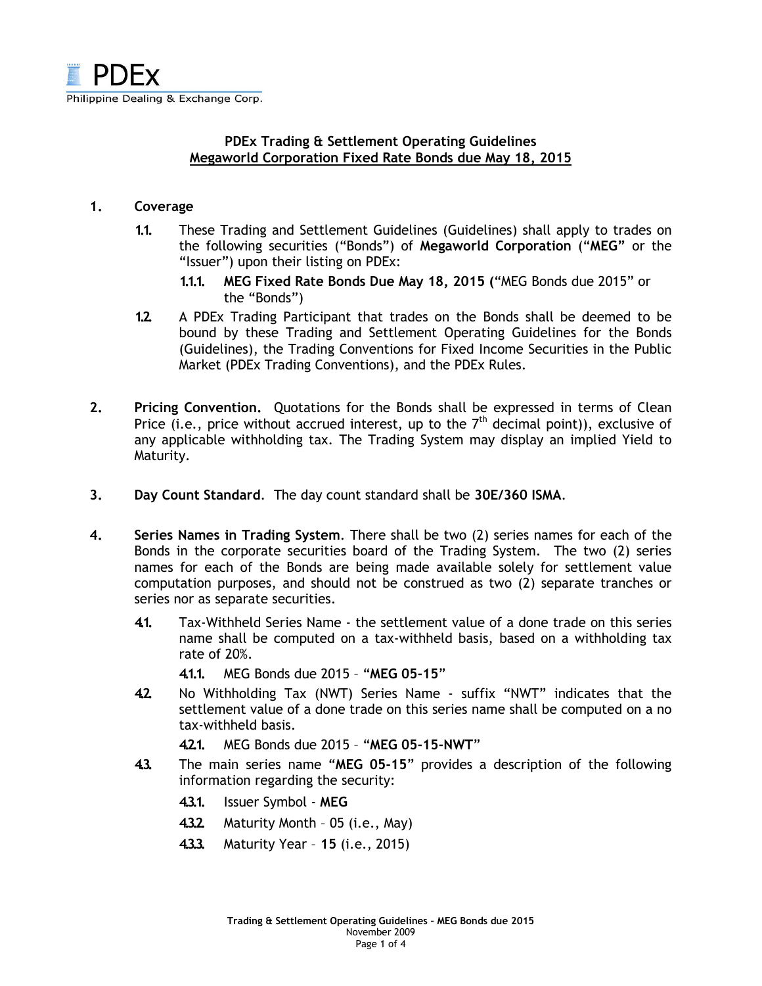# PDEx Trading & Settlement Operating Guidelines Megaworld Corporation Fixed Rate Bonds due May 18, 2015

#### 1. Coverage

- 1.1. These Trading and Settlement Guidelines (Guidelines) shall apply to trades on the following securities ("Bonds") of Megaworld Corporation ("MEG" or the "Issuer") upon their listing on PDEx:
	- 1.1.1. MEG Fixed Rate Bonds Due May 18, 2015 ("MEG Bonds due 2015" or the "Bonds")
- 1.2. A PDEx Trading Participant that trades on the Bonds shall be deemed to be bound by these Trading and Settlement Operating Guidelines for the Bonds (Guidelines), the Trading Conventions for Fixed Income Securities in the Public Market (PDEx Trading Conventions), and the PDEx Rules.
- 2. Pricing Convention. Quotations for the Bonds shall be expressed in terms of Clean Price (i.e., price without accrued interest, up to the  $7<sup>th</sup>$  decimal point)), exclusive of any applicable withholding tax. The Trading System may display an implied Yield to Maturity.
- 3. Day Count Standard. The day count standard shall be 30E/360 ISMA.
- 4. Series Names in Trading System. There shall be two (2) series names for each of the Bonds in the corporate securities board of the Trading System. The two (2) series names for each of the Bonds are being made available solely for settlement value computation purposes, and should not be construed as two (2) separate tranches or series nor as separate securities.
	- 41. Tax-Withheld Series Name the settlement value of a done trade on this series name shall be computed on a tax-withheld basis, based on a withholding tax rate of 20%.
		- 4.1.1. MEG Bonds due 2015 "MEG 05-15"
	- 4.2. No Withholding Tax (NWT) Series Name suffix "NWT" indicates that the settlement value of a done trade on this series name shall be computed on a no tax-withheld basis.
		- 4.2.1. MEG Bonds due 2015 "MEG 05-15-NWT"
	- 43. The main series name "MEG 05-15" provides a description of the following information regarding the security:
		- 43.1. Issuer Symbol MEG
		- 4.3.2. Maturity Month 05 (i.e., May)
		- 4.3.3. Maturity Year 15 (i.e., 2015)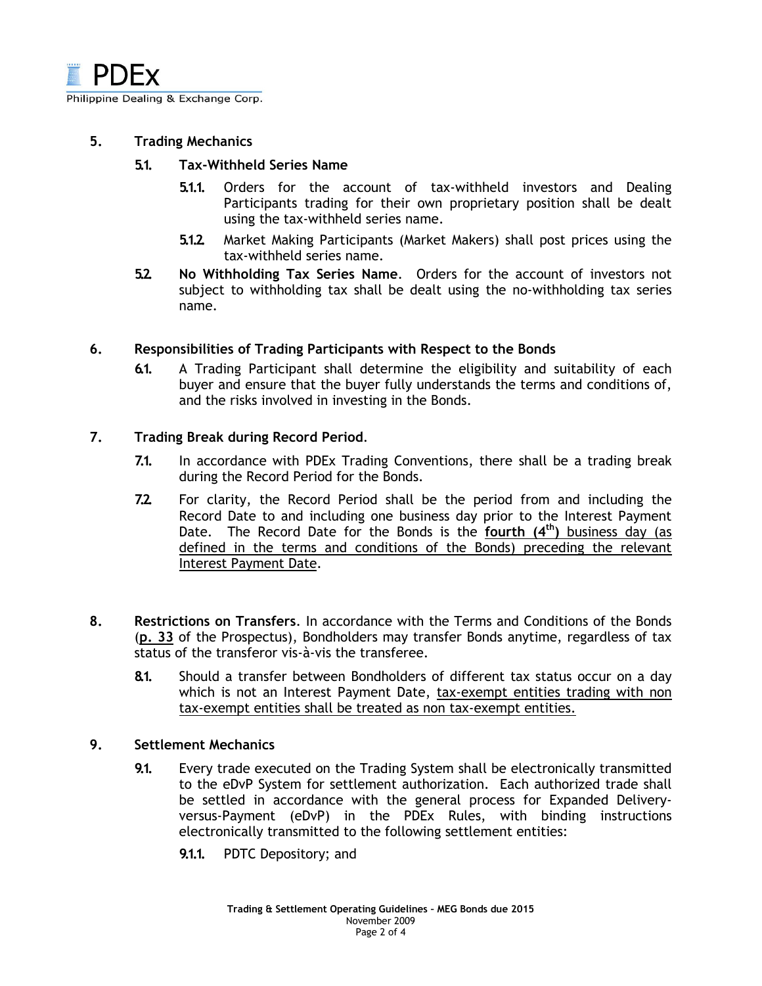

# 5. Trading Mechanics

# 5.1. Tax-Withheld Series Name

- 5.1.1. Orders for the account of tax-withheld investors and Dealing Participants trading for their own proprietary position shall be dealt using the tax-withheld series name.
- 5.1.2. Market Making Participants (Market Makers) shall post prices using the tax-withheld series name.
- 5.2. No Withholding Tax Series Name. Orders for the account of investors not subject to withholding tax shall be dealt using the no-withholding tax series name.

## 6. Responsibilities of Trading Participants with Respect to the Bonds

6.1. A Trading Participant shall determine the eligibility and suitability of each buyer and ensure that the buyer fully understands the terms and conditions of, and the risks involved in investing in the Bonds.

## 7. Trading Break during Record Period.

- 7.1. In accordance with PDEx Trading Conventions, there shall be a trading break during the Record Period for the Bonds.
- 7.2. For clarity, the Record Period shall be the period from and including the Record Date to and including one business day prior to the Interest Payment Date. The Record Date for the Bonds is the **fourth**  $(4<sup>th</sup>)$  business day (as defined in the terms and conditions of the Bonds) preceding the relevant Interest Payment Date.
- 8. Restrictions on Transfers. In accordance with the Terms and Conditions of the Bonds (p. 33 of the Prospectus), Bondholders may transfer Bonds anytime, regardless of tax status of the transferor vis-à-vis the transferee.
	- 8.1. Should a transfer between Bondholders of different tax status occur on a day which is not an Interest Payment Date, tax-exempt entities trading with non tax-exempt entities shall be treated as non tax-exempt entities.

#### 9. Settlement Mechanics

- 9.1. Every trade executed on the Trading System shall be electronically transmitted to the eDvP System for settlement authorization. Each authorized trade shall be settled in accordance with the general process for Expanded Deliveryversus-Payment (eDvP) in the PDEx Rules, with binding instructions electronically transmitted to the following settlement entities:
	- 9.1.1. PDTC Depository; and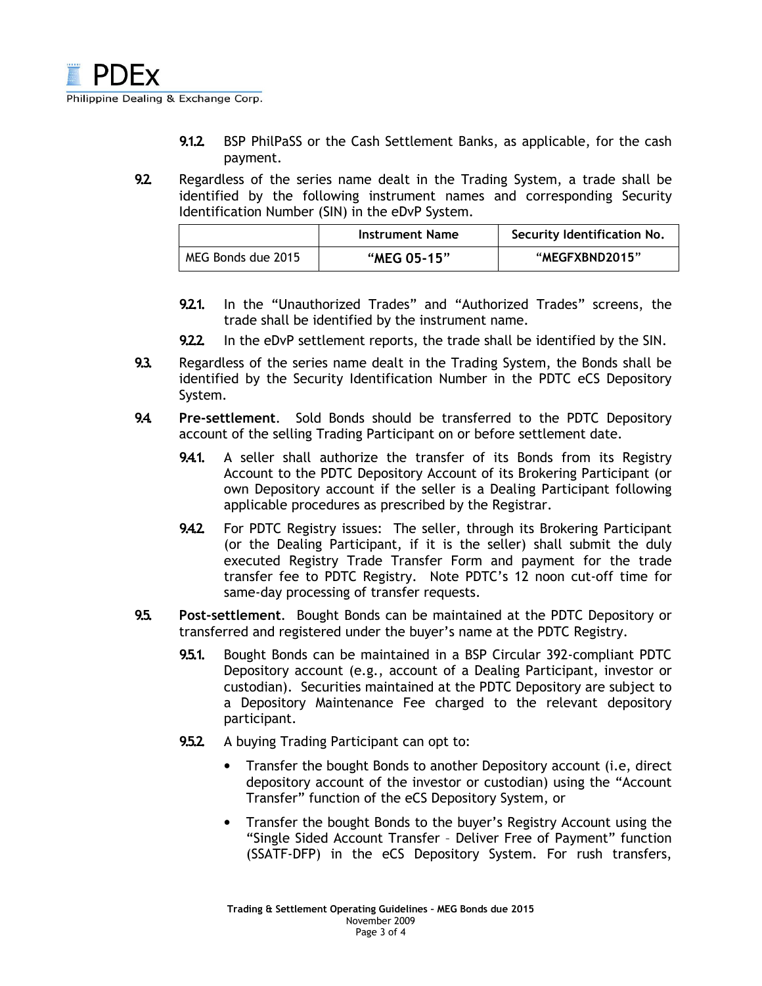

- 9.1.2. BSP PhilPaSS or the Cash Settlement Banks, as applicable, for the cash payment.
- 9.2. Regardless of the series name dealt in the Trading System, a trade shall be identified by the following instrument names and corresponding Security Identification Number (SIN) in the eDvP System.

|                    | Instrument Name | <b>Security Identification No.</b> |
|--------------------|-----------------|------------------------------------|
| MEG Bonds due 2015 | "MEG 05-15"     | "MEGFXBND2015"                     |

- 9.2.1. In the "Unauthorized Trades" and "Authorized Trades" screens, the trade shall be identified by the instrument name.
- 9.2.2. In the eDvP settlement reports, the trade shall be identified by the SIN.
- 9.3. Regardless of the series name dealt in the Trading System, the Bonds shall be identified by the Security Identification Number in the PDTC eCS Depository System.
- 9.4. Pre-settlement. Sold Bonds should be transferred to the PDTC Depository account of the selling Trading Participant on or before settlement date.
	- **9.4.1.** A seller shall authorize the transfer of its Bonds from its Registry Account to the PDTC Depository Account of its Brokering Participant (or own Depository account if the seller is a Dealing Participant following applicable procedures as prescribed by the Registrar.
	- 9.4.2. For PDTC Registry issues: The seller, through its Brokering Participant (or the Dealing Participant, if it is the seller) shall submit the duly executed Registry Trade Transfer Form and payment for the trade transfer fee to PDTC Registry. Note PDTC's 12 noon cut-off time for same-day processing of transfer requests.
- 9.5. Post-settlement. Bought Bonds can be maintained at the PDTC Depository or transferred and registered under the buyer's name at the PDTC Registry.
	- 9.5.1. Bought Bonds can be maintained in a BSP Circular 392-compliant PDTC Depository account (e.g., account of a Dealing Participant, investor or custodian). Securities maintained at the PDTC Depository are subject to a Depository Maintenance Fee charged to the relevant depository participant.
	- 9.5.2. A buying Trading Participant can opt to:
		- Transfer the bought Bonds to another Depository account (i.e, direct depository account of the investor or custodian) using the "Account Transfer" function of the eCS Depository System, or
		- Transfer the bought Bonds to the buyer's Registry Account using the "Single Sided Account Transfer – Deliver Free of Payment" function (SSATF-DFP) in the eCS Depository System. For rush transfers,